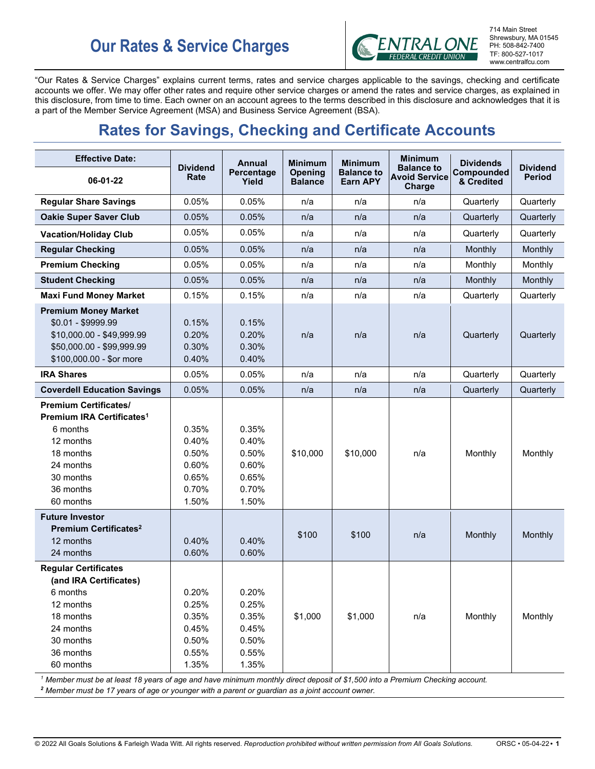# **Our Rates & Service Charges**



"Our Rates & Service Charges" explains current terms, rates and service charges applicable to the savings, checking and certificate accounts we offer. We may offer other rates and require other service charges or amend the rates and service charges, as explained in this disclosure, from time to time. Each owner on an account agrees to the terms described in this disclosure and acknowledges that it is a part of the Member Service Agreement (MSA) and Business Service Agreement (BSA).

# **Rates for Savings, Checking and Certificate Accounts**

| <b>Effective Date:</b>                                                                                                                                          |                                                             | <b>Annual</b>                                               | <b>Minimum</b>            | <b>Minimum</b>                       | <b>Minimum</b>                                      | <b>Dividends</b>         |                                  |
|-----------------------------------------------------------------------------------------------------------------------------------------------------------------|-------------------------------------------------------------|-------------------------------------------------------------|---------------------------|--------------------------------------|-----------------------------------------------------|--------------------------|----------------------------------|
| 06-01-22                                                                                                                                                        | <b>Dividend</b><br>Rate                                     | Percentage<br>Yield                                         | Opening<br><b>Balance</b> | <b>Balance to</b><br><b>Earn APY</b> | <b>Balance to</b><br><b>Avoid Service</b><br>Charge | Compounded<br>& Credited | <b>Dividend</b><br><b>Period</b> |
| <b>Regular Share Savings</b>                                                                                                                                    | 0.05%                                                       | 0.05%                                                       | n/a                       | n/a                                  | n/a                                                 | Quarterly                | Quarterly                        |
| <b>Oakie Super Saver Club</b>                                                                                                                                   | 0.05%                                                       | 0.05%                                                       | n/a                       | n/a                                  | n/a                                                 | Quarterly                | Quarterly                        |
| <b>Vacation/Holiday Club</b>                                                                                                                                    | 0.05%                                                       | 0.05%                                                       | n/a                       | n/a                                  | n/a                                                 | Quarterly                | Quarterly                        |
| <b>Regular Checking</b>                                                                                                                                         | 0.05%                                                       | 0.05%                                                       | n/a                       | n/a                                  | n/a                                                 | Monthly                  | Monthly                          |
| <b>Premium Checking</b>                                                                                                                                         | 0.05%                                                       | 0.05%                                                       | n/a                       | n/a                                  | n/a                                                 | Monthly                  | Monthly                          |
| <b>Student Checking</b>                                                                                                                                         | 0.05%                                                       | 0.05%                                                       | n/a                       | n/a                                  | n/a                                                 | Monthly                  | Monthly                          |
| <b>Maxi Fund Money Market</b>                                                                                                                                   | 0.15%                                                       | 0.15%                                                       | n/a                       | n/a                                  | n/a                                                 | Quarterly                | Quarterly                        |
| <b>Premium Money Market</b><br>$$0.01 - $9999.99$<br>\$10,000.00 - \$49,999.99<br>\$50,000.00 - \$99,999.99<br>\$100,000.00 - \$or more                         | 0.15%<br>0.20%<br>0.30%<br>0.40%                            | 0.15%<br>0.20%<br>0.30%<br>0.40%                            | n/a                       | n/a                                  | n/a                                                 | Quarterly                | Quarterly                        |
| <b>IRA Shares</b>                                                                                                                                               | 0.05%                                                       | 0.05%                                                       | n/a                       | n/a                                  | n/a                                                 | Quarterly                | Quarterly                        |
| <b>Coverdell Education Savings</b>                                                                                                                              | 0.05%                                                       | 0.05%                                                       | n/a                       | n/a                                  | n/a                                                 | Quarterly                | Quarterly                        |
| <b>Premium Certificates/</b><br>Premium IRA Certificates <sup>1</sup><br>6 months<br>12 months<br>18 months<br>24 months<br>30 months<br>36 months<br>60 months | 0.35%<br>0.40%<br>0.50%<br>0.60%<br>0.65%<br>0.70%<br>1.50% | 0.35%<br>0.40%<br>0.50%<br>0.60%<br>0.65%<br>0.70%<br>1.50% | \$10,000                  | \$10,000                             | n/a                                                 | Monthly                  | Monthly                          |
| <b>Future Investor</b><br>Premium Certificates <sup>2</sup><br>12 months<br>24 months                                                                           | 0.40%<br>0.60%                                              | 0.40%<br>0.60%                                              | \$100                     | \$100                                | n/a                                                 | Monthly                  | Monthly                          |
| <b>Regular Certificates</b><br>(and IRA Certificates)<br>6 months<br>12 months<br>18 months<br>24 months<br>30 months<br>36 months<br>60 months                 | 0.20%<br>0.25%<br>0.35%<br>0.45%<br>0.50%<br>0.55%<br>1.35% | 0.20%<br>0.25%<br>0.35%<br>0.45%<br>0.50%<br>0.55%<br>1.35% | \$1,000                   | \$1,000                              | n/a                                                 | Monthly                  | Monthly                          |

*<sup>1</sup> Member must be at least 18 years of age and have minimum monthly direct deposit of \$1,500 into a Premium Checking account.*

*<sup>2</sup> Member must be 17 years of age or younger with a parent or guardian as a joint account owner.*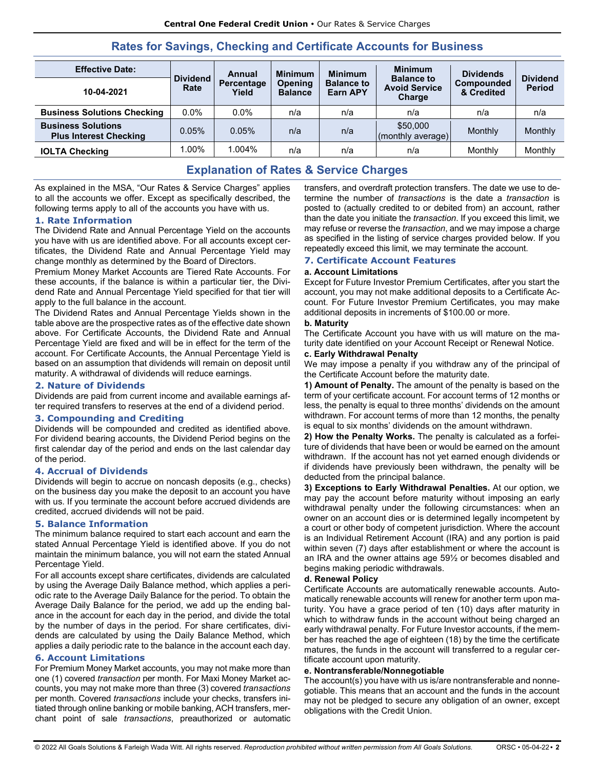| <b>Effective Date:</b>                                     |                         | Annual                                                  | <b>Minimum</b> | <b>Minimum</b>                       | <b>Minimum</b><br><b>Balance to</b> | <b>Dividends</b>                |                                  |
|------------------------------------------------------------|-------------------------|---------------------------------------------------------|----------------|--------------------------------------|-------------------------------------|---------------------------------|----------------------------------|
| 10-04-2021                                                 | <b>Dividend</b><br>Rate | Percentage<br><b>Opening</b><br>Yield<br><b>Balance</b> |                | <b>Balance to</b><br><b>Earn APY</b> | <b>Avoid Service</b><br>Charge      | <b>Compounded</b><br>& Credited | <b>Dividend</b><br><b>Period</b> |
| <b>Business Solutions Checking</b>                         | $0.0\%$                 | $0.0\%$                                                 | n/a            | n/a                                  | n/a                                 | n/a                             | n/a                              |
| <b>Business Solutions</b><br><b>Plus Interest Checking</b> | 0.05%                   | 0.05%                                                   | n/a            | n/a                                  | \$50,000<br>(monthly average)       | Monthly                         | Monthly                          |
| <b>IOLTA Checking</b>                                      | 1.00%                   | $.004\%$                                                | n/a            | n/a                                  | n/a                                 | Monthly                         | Monthly                          |

# **Rates for Savings, Checking and Certificate Accounts for Business**

# **Explanation of Rates & Service Charges**

As explained in the MSA, "Our Rates & Service Charges" applies to all the accounts we offer. Except as specifically described, the following terms apply to all of the accounts you have with us.

# **1. Rate Information**

The Dividend Rate and Annual Percentage Yield on the accounts you have with us are identified above. For all accounts except certificates, the Dividend Rate and Annual Percentage Yield may change monthly as determined by the Board of Directors.

Premium Money Market Accounts are Tiered Rate Accounts. For these accounts, if the balance is within a particular tier, the Dividend Rate and Annual Percentage Yield specified for that tier will apply to the full balance in the account.

The Dividend Rates and Annual Percentage Yields shown in the table above are the prospective rates as of the effective date shown above. For Certificate Accounts, the Dividend Rate and Annual Percentage Yield are fixed and will be in effect for the term of the account. For Certificate Accounts, the Annual Percentage Yield is based on an assumption that dividends will remain on deposit until maturity. A withdrawal of dividends will reduce earnings.

# **2. Nature of Dividends**

Dividends are paid from current income and available earnings after required transfers to reserves at the end of a dividend period.

# **3. Compounding and Crediting**

Dividends will be compounded and credited as identified above. For dividend bearing accounts, the Dividend Period begins on the first calendar day of the period and ends on the last calendar day of the period.

# **4. Accrual of Dividends**

Dividends will begin to accrue on noncash deposits (e.g., checks) on the business day you make the deposit to an account you have with us. If you terminate the account before accrued dividends are credited, accrued dividends will not be paid.

# **5. Balance Information**

The minimum balance required to start each account and earn the stated Annual Percentage Yield is identified above. If you do not maintain the minimum balance, you will not earn the stated Annual Percentage Yield.

For all accounts except share certificates, dividends are calculated by using the Average Daily Balance method, which applies a periodic rate to the Average Daily Balance for the period. To obtain the Average Daily Balance for the period, we add up the ending balance in the account for each day in the period, and divide the total by the number of days in the period. For share certificates, dividends are calculated by using the Daily Balance Method, which applies a daily periodic rate to the balance in the account each day.

# **6. Account Limitations**

For Premium Money Market accounts, you may not make more than one (1) covered *transaction* per month. For Maxi Money Market accounts, you may not make more than three (3) covered *transactions*  per month. Covered *transactions* include your checks, transfers initiated through online banking or mobile banking, ACH transfers, merchant point of sale *transactions*, preauthorized or automatic transfers, and overdraft protection transfers. The date we use to determine the number of *transactions* is the date a *transaction* is posted to (actually credited to or debited from) an account, rather than the date you initiate the *transaction*. If you exceed this limit, we may refuse or reverse the *transaction*, and we may impose a charge as specified in the listing of service charges provided below. If you repeatedly exceed this limit, we may terminate the account.

# **7. Certificate Account Features**

# **a. Account Limitations**

Except for Future Investor Premium Certificates, after you start the account, you may not make additional deposits to a Certificate Account. For Future Investor Premium Certificates, you may make additional deposits in increments of \$100.00 or more.

# **b. Maturity**

The Certificate Account you have with us will mature on the maturity date identified on your Account Receipt or Renewal Notice.

#### **c. Early Withdrawal Penalty**

We may impose a penalty if you withdraw any of the principal of the Certificate Account before the maturity date.

**1) Amount of Penalty.** The amount of the penalty is based on the term of your certificate account. For account terms of 12 months or less, the penalty is equal to three months' dividends on the amount withdrawn. For account terms of more than 12 months, the penalty is equal to six months' dividends on the amount withdrawn.

**2) How the Penalty Works.** The penalty is calculated as a forfeiture of dividends that have been or would be earned on the amount withdrawn. If the account has not yet earned enough dividends or if dividends have previously been withdrawn, the penalty will be deducted from the principal balance.

**3) Exceptions to Early Withdrawal Penalties.** At our option, we may pay the account before maturity without imposing an early withdrawal penalty under the following circumstances: when an owner on an account dies or is determined legally incompetent by a court or other body of competent jurisdiction. Where the account is an Individual Retirement Account (IRA) and any portion is paid within seven (7) days after establishment or where the account is an IRA and the owner attains age 59½ or becomes disabled and begins making periodic withdrawals.

# **d. Renewal Policy**

Certificate Accounts are automatically renewable accounts. Automatically renewable accounts will renew for another term upon maturity. You have a grace period of ten (10) days after maturity in which to withdraw funds in the account without being charged an early withdrawal penalty. For Future Investor accounts, if the member has reached the age of eighteen (18) by the time the certificate matures, the funds in the account will transferred to a regular certificate account upon maturity.

# **e. Nontransferable/Nonnegotiable**

The account(s) you have with us is/are nontransferable and nonnegotiable. This means that an account and the funds in the account may not be pledged to secure any obligation of an owner, except obligations with the Credit Union.